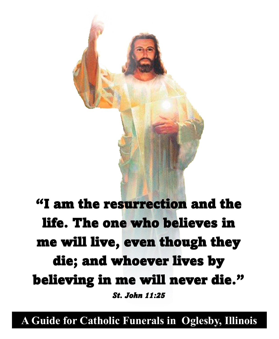

# "I am the resurrection and the life. The one who believes in me will live, even though they die; and whoever lives by believing in me will never die." *St. John 11:25*

**A Guide for Catholic Funerals in Oglesby, Illinois**

1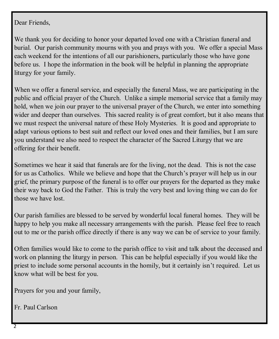Dear Friends,

We thank you for deciding to honor your departed loved one with a Christian funeral and burial. Our parish community mourns with you and prays with you. We offer a special Mass each weekend for the intentions of all our parishioners, particularly those who have gone before us. I hope the information in the book will be helpful in planning the appropriate liturgy for your family.

When we offer a funeral service, and especially the funeral Mass, we are participating in the public and official prayer of the Church. Unlike a simple memorial service that a family may hold, when we join our prayer to the universal prayer of the Church, we enter into something wider and deeper than ourselves. This sacred reality is of great comfort, but it also means that we must respect the universal nature of these Holy Mysteries. It is good and appropriate to adapt various options to best suit and reflect our loved ones and their families, but I am sure you understand we also need to respect the character of the Sacred Liturgy that we are offering for their benefit.

Sometimes we hear it said that funerals are for the living, not the dead. This is not the case for us as Catholics. While we believe and hope that the Church's prayer will help us in our grief, the primary purpose of the funeral is to offer our prayers for the departed as they make their way back to God the Father. This is truly the very best and loving thing we can do for those we have lost.

Our parish families are blessed to be served by wonderful local funeral homes. They will be happy to help you make all necessary arrangements with the parish. Please feel free to reach out to me or the parish office directly if there is any way we can be of service to your family.

Often families would like to come to the parish office to visit and talk about the deceased and work on planning the liturgy in person. This can be helpful especially if you would like the priest to include some personal accounts in the homily, but it certainly isn't required. Let us know what will be best for you.

Prayers for you and your family,

Fr. Paul Carlson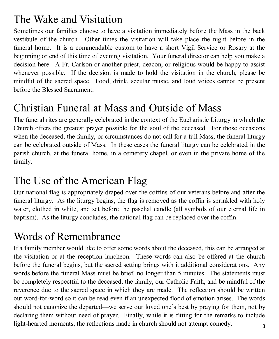# The Wake and Visitation

Sometimes our families choose to have a visitation immediately before the Mass in the back vestibule of the church. Other times the visitation will take place the night before in the funeral home. It is a commendable custom to have a short Vigil Service or Rosary at the beginning or end of this time of evening visitation. Your funeral director can help you make a decision here. A Fr. Carlson or another priest, deacon, or religious would be happy to assist whenever possible. If the decision is made to hold the visitation in the church, please be mindful of the sacred space. Food, drink, secular music, and loud voices cannot be present before the Blessed Sacrament.

### Christian Funeral at Mass and Outside of Mass

The funeral rites are generally celebrated in the context of the Eucharistic Liturgy in which the Church offers the greatest prayer possible for the soul of the deceased. For those occasions when the deceased, the family, or circumstances do not call for a full Mass, the funeral liturgy can be celebrated outside of Mass. In these cases the funeral liturgy can be celebrated in the parish church, at the funeral home, in a cemetery chapel, or even in the private home of the family.

# The Use of the American Flag

Our national flag is appropriately draped over the coffins of our veterans before and after the funeral liturgy. As the liturgy begins, the flag is removed as the coffin is sprinkled with holy water, clothed in white, and set before the paschal candle (all symbols of our eternal life in baptism). As the liturgy concludes, the national flag can be replaced over the coffin.

### Words of Remembrance

3 If a family member would like to offer some words about the deceased, this can be arranged at the visitation or at the reception luncheon. These words can also be offered at the church before the funeral begins, but the sacred setting brings with it additional considerations. Any words before the funeral Mass must be brief, no longer than 5 minutes. The statements must be completely respectful to the deceased, the family, our Catholic Faith, and be mindful of the reverence due to the sacred space in which they are made. The reflection should be written out word-for-word so it can be read even if an unexpected flood of emotion arises. The words should not canonize the departed—we serve our loved one's best by praying for them, not by declaring them without need of prayer. Finally, while it is fitting for the remarks to include light-hearted moments, the reflections made in church should not attempt comedy.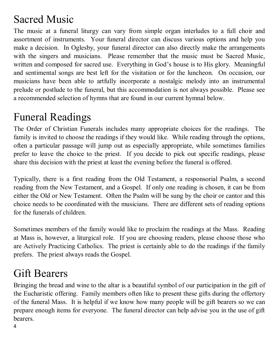# Sacred Music

The music at a funeral liturgy can vary from simple organ interludes to a full choir and assortment of instruments. Your funeral director can discuss various options and help you make a decision. In Oglesby, your funeral director can also directly make the arrangements with the singers and musicians. Please remember that the music must be Sacred Music, written and composed for sacred use. Everything in God's house is to His glory. Meaningful and sentimental songs are best left for the visitation or for the luncheon. On occasion, our musicians have been able to artfully incorporate a nostalgic melody into an instrumental prelude or postlude to the funeral, but this accommodation is not always possible. Please see a recommended selection of hymns that are found in our current hymnal below.

# Funeral Readings

The Order of Christian Funerals includes many appropriate choices for the readings. The family is invited to choose the readings if they would like. While reading through the options, often a particular passage will jump out as especially appropriate, while sometimes families prefer to leave the choice to the priest. If you decide to pick out specific readings, please share this decision with the priest at least the evening before the funeral is offered.

Typically, there is a first reading from the Old Testament, a responsorial Psalm, a second reading from the New Testament, and a Gospel. If only one reading is chosen, it can be from either the Old or New Testament. Often the Psalm will be sung by the choir or cantor and this choice needs to be coordinated with the musicians. There are different sets of reading options for the funerals of children.

Sometimes members of the family would like to proclaim the readings at the Mass. Reading at Mass is, however, a liturgical role. If you are choosing readers, please choose those who are Actively Practicing Catholics. The priest is certainly able to do the readings if the family prefers. The priest always reads the Gospel.

# Gift Bearers

Bringing the bread and wine to the altar is a beautiful symbol of our participation in the gift of the Eucharistic offering. Family members often like to present these gifts during the offertory of the funeral Mass. It is helpful if we know how many people will be gift bearers so we can prepare enough items for everyone. The funeral director can help advise you in the use of gift bearers.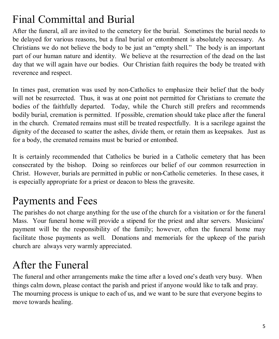# Final Committal and Burial

After the funeral, all are invited to the cemetery for the burial. Sometimes the burial needs to be delayed for various reasons, but a final burial or entombment is absolutely necessary. As Christians we do not believe the body to be just an "empty shell." The body is an important part of our human nature and identity. We believe at the resurrection of the dead on the last day that we will again have our bodies. Our Christian faith requires the body be treated with reverence and respect.

In times past, cremation was used by non-Catholics to emphasize their belief that the body will not be resurrected. Thus, it was at one point not permitted for Christians to cremate the bodies of the faithfully departed. Today, while the Church still prefers and recommends bodily burial, cremation is permitted. If possible, cremation should take place after the funeral in the church. Cremated remains must still be treated respectfully. It is a sacrilege against the dignity of the deceased to scatter the ashes, divide them, or retain them as keepsakes. Just as for a body, the cremated remains must be buried or entombed.

It is certainly recommended that Catholics be buried in a Catholic cemetery that has been consecrated by the bishop. Doing so reinforces our belief of our common resurrection in Christ. However, burials are permitted in public or non-Catholic cemeteries. In these cases, it is especially appropriate for a priest or deacon to bless the gravesite.

### Payments and Fees

The parishes do not charge anything for the use of the church for a visitation or for the funeral Mass. Your funeral home will provide a stipend for the priest and altar servers. Musicians' payment will be the responsibility of the family; however, often the funeral home may facilitate those payments as well. Donations and memorials for the upkeep of the parish church are always very warmly appreciated.

# After the Funeral

The funeral and other arrangements make the time after a loved one's death very busy. When things calm down, please contact the parish and priest if anyone would like to talk and pray. The mourning process is unique to each of us, and we want to be sure that everyone begins to move towards healing.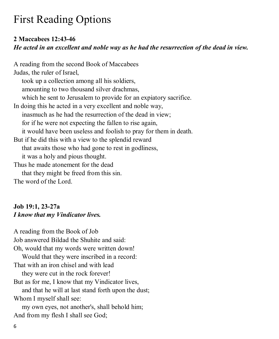### First Reading Options

#### **2 Maccabees 12:43-46**

*He acted in an excellent and noble way as he had the resurrection of the dead in view.*

A reading from the second Book of Maccabees Judas, the ruler of Israel, took up a collection among all his soldiers, amounting to two thousand silver drachmas, which he sent to Jerusalem to provide for an expiatory sacrifice. In doing this he acted in a very excellent and noble way, inasmuch as he had the resurrection of the dead in view; for if he were not expecting the fallen to rise again, it would have been useless and foolish to pray for them in death. But if he did this with a view to the splendid reward that awaits those who had gone to rest in godliness, it was a holy and pious thought. Thus he made atonement for the dead that they might be freed from this sin. The word of the Lord.

#### **Job 19:1, 23-27a** *I know that my Vindicator lives.*

A reading from the Book of Job Job answered Bildad the Shuhite and said: Oh, would that my words were written down! Would that they were inscribed in a record: That with an iron chisel and with lead they were cut in the rock forever! But as for me, I know that my Vindicator lives, and that he will at last stand forth upon the dust; Whom I myself shall see: my own eyes, not another's, shall behold him; And from my flesh I shall see God;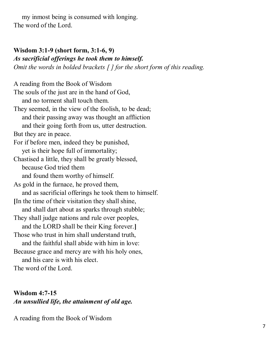my inmost being is consumed with longing. The word of the Lord.

#### **Wisdom 3:1-9 (short form, 3:1-6, 9)**

*As sacrificial offerings he took them to himself.*

*Omit the words in bolded brackets [ ] for the short form of this reading.*

A reading from the Book of Wisdom The souls of the just are in the hand of God, and no torment shall touch them. They seemed, in the view of the foolish, to be dead; and their passing away was thought an affliction and their going forth from us, utter destruction. But they are in peace. For if before men, indeed they be punished, yet is their hope full of immortality; Chastised a little, they shall be greatly blessed, because God tried them and found them worthy of himself. As gold in the furnace, he proved them, and as sacrificial offerings he took them to himself. **[**In the time of their visitation they shall shine, and shall dart about as sparks through stubble; They shall judge nations and rule over peoples, and the LORD shall be their King forever.**]** Those who trust in him shall understand truth, and the faithful shall abide with him in love: Because grace and mercy are with his holy ones, and his care is with his elect. The word of the Lord.

#### **Wisdom 4:7-15** *An unsullied life, the attainment of old age.*

A reading from the Book of Wisdom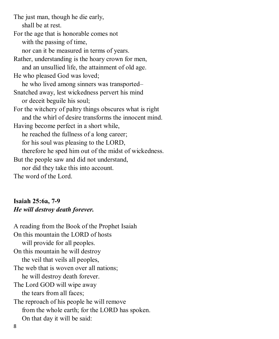The just man, though he die early, shall be at rest. For the age that is honorable comes not with the passing of time, nor can it be measured in terms of years. Rather, understanding is the hoary crown for men, and an unsullied life, the attainment of old age. He who pleased God was loved; he who lived among sinners was transported– Snatched away, lest wickedness pervert his mind or deceit beguile his soul; For the witchery of paltry things obscures what is right and the whirl of desire transforms the innocent mind. Having become perfect in a short while, he reached the fullness of a long career; for his soul was pleasing to the LORD, therefore he sped him out of the midst of wickedness. But the people saw and did not understand, nor did they take this into account. The word of the Lord.

#### **Isaiah 25:6a, 7-9** *He will destroy death forever.*

A reading from the Book of the Prophet Isaiah On this mountain the LORD of hosts will provide for all peoples. On this mountain he will destroy the veil that veils all peoples, The web that is woven over all nations; he will destroy death forever. The Lord GOD will wipe away the tears from all faces; The reproach of his people he will remove from the whole earth; for the LORD has spoken. On that day it will be said: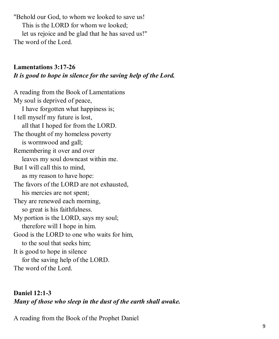"Behold our God, to whom we looked to save us! This is the LORD for whom we looked; let us rejoice and be glad that he has saved us!" The word of the Lord.

#### **Lamentations 3:17-26** *It is good to hope in silence for the saving help of the Lord.*

A reading from the Book of Lamentations My soul is deprived of peace, I have forgotten what happiness is; I tell myself my future is lost, all that I hoped for from the LORD. The thought of my homeless poverty is wormwood and gall; Remembering it over and over leaves my soul downcast within me. But I will call this to mind, as my reason to have hope: The favors of the LORD are not exhausted, his mercies are not spent; They are renewed each morning, so great is his faithfulness. My portion is the LORD, says my soul; therefore will I hope in him. Good is the LORD to one who waits for him, to the soul that seeks him; It is good to hope in silence for the saving help of the LORD. The word of the Lord.

#### **Daniel 12:1-3**

*Many of those who sleep in the dust of the earth shall awake.*

A reading from the Book of the Prophet Daniel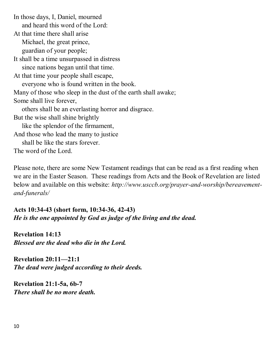In those days, I, Daniel, mourned and heard this word of the Lord: At that time there shall arise Michael, the great prince, guardian of your people; It shall be a time unsurpassed in distress since nations began until that time. At that time your people shall escape, everyone who is found written in the book. Many of those who sleep in the dust of the earth shall awake; Some shall live forever, others shall be an everlasting horror and disgrace. But the wise shall shine brightly like the splendor of the firmament, And those who lead the many to justice shall be like the stars forever.

The word of the Lord.

Please note, there are some New Testament readings that can be read as a first reading when we are in the Easter Season. These readings from Acts and the Book of Revelation are listed below and available on this website: *http://www.usccb.org/prayer-and-worship/bereavementand-funerals/*

**Acts 10:34-43 (short form, 10:34-36, 42-43)** *He is the one appointed by God as judge of the living and the dead.* 

**Revelation 14:13** *Blessed are the dead who die in the Lord.* 

**Revelation 20:11—21:1** *The dead were judged according to their deeds.* 

**Revelation 21:1-5a, 6b-7** *There shall be no more death.*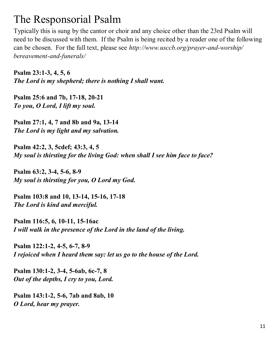### The Responsorial Psalm

Typically this is sung by the cantor or choir and any choice other than the 23rd Psalm will need to be discussed with them. If the Psalm is being recited by a reader one of the following can be chosen. For the full text, please see *http://www.usccb.org/prayer-and-worship/ bereavement-and-funerals/*

**Psalm 23:1-3, 4, 5, 6** *The Lord is my shepherd; there is nothing I shall want.*

**Psalm 25:6 and 7b, 17-18, 20-21** *To you, O Lord, I lift my soul.*

**Psalm 27:1, 4, 7 and 8b and 9a, 13-14** *The Lord is my light and my salvation.*

**Psalm 42:2, 3, 5cdef; 43:3, 4, 5** *My soul is thirsting for the living God: when shall I see him face to face?*

**Psalm 63:2, 3-4, 5-6, 8-9** *My soul is thirsting for you, O Lord my God.*

**Psalm 103:8 and 10, 13-14, 15-16, 17-18** *The Lord is kind and merciful.*

**Psalm 116:5, 6, 10-11, 15-16ac** *I will walk in the presence of the Lord in the land of the living.*

**Psalm 122:1-2, 4-5, 6-7, 8-9** *I rejoiced when I heard them say: let us go to the house of the Lord.*

**Psalm 130:1-2, 3-4, 5-6ab, 6c-7, 8** *Out of the depths, I cry to you, Lord.*

**Psalm 143:1-2, 5-6, 7ab and 8ab, 10** *O Lord, hear my prayer.*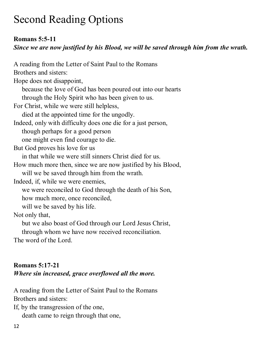# Second Reading Options

#### **Romans 5:5-11**

*Since we are now justified by his Blood, we will be saved through him from the wrath.*

A reading from the Letter of Saint Paul to the Romans Brothers and sisters: Hope does not disappoint, because the love of God has been poured out into our hearts through the Holy Spirit who has been given to us. For Christ, while we were still helpless, died at the appointed time for the ungodly. Indeed, only with difficulty does one die for a just person, though perhaps for a good person one might even find courage to die. But God proves his love for us in that while we were still sinners Christ died for us. How much more then, since we are now justified by his Blood, will we be saved through him from the wrath. Indeed, if, while we were enemies, we were reconciled to God through the death of his Son, how much more, once reconciled, will we be saved by his life. Not only that, but we also boast of God through our Lord Jesus Christ, through whom we have now received reconciliation. The word of the Lord.

#### **Romans 5:17-21**

#### *Where sin increased, grace overflowed all the more.*

A reading from the Letter of Saint Paul to the Romans Brothers and sisters:

If, by the transgression of the one,

death came to reign through that one,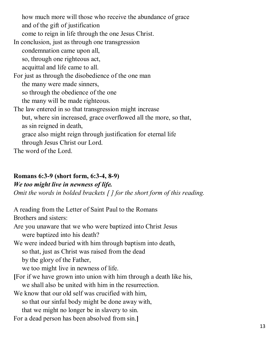how much more will those who receive the abundance of grace and of the gift of justification come to reign in life through the one Jesus Christ. In conclusion, just as through one transgression condemnation came upon all, so, through one righteous act, acquittal and life came to all. For just as through the disobedience of the one man the many were made sinners, so through the obedience of the one the many will be made righteous. The law entered in so that transgression might increase but, where sin increased, grace overflowed all the more, so that, as sin reigned in death, grace also might reign through justification for eternal life through Jesus Christ our Lord. The word of the Lord.

#### **Romans 6:3-9 (short form, 6:3-4, 8-9)**

#### *We too might live in newness of life.*

*Omit the words in bolded brackets [ ] for the short form of this reading.*

A reading from the Letter of Saint Paul to the Romans Brothers and sisters: Are you unaware that we who were baptized into Christ Jesus were baptized into his death? We were indeed buried with him through baptism into death, so that, just as Christ was raised from the dead by the glory of the Father, we too might live in newness of life. **[**For if we have grown into union with him through a death like his, we shall also be united with him in the resurrection. We know that our old self was crucified with him. so that our sinful body might be done away with, that we might no longer be in slavery to sin. For a dead person has been absolved from sin.**]**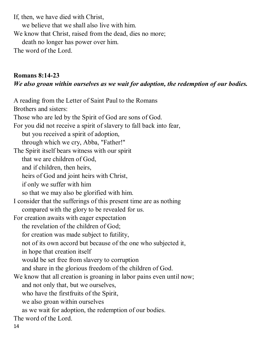If, then, we have died with Christ,

we believe that we shall also live with him.

We know that Christ, raised from the dead, dies no more;

death no longer has power over him.

The word of the Lord.

#### **Romans 8:14-23**

*We also groan within ourselves as we wait for adoption, the redemption of our bodies.*

A reading from the Letter of Saint Paul to the Romans Brothers and sisters: Those who are led by the Spirit of God are sons of God. For you did not receive a spirit of slavery to fall back into fear, but you received a spirit of adoption, through which we cry, Abba, "Father!" The Spirit itself bears witness with our spirit that we are children of God, and if children, then heirs, heirs of God and joint heirs with Christ, if only we suffer with him so that we may also be glorified with him. I consider that the sufferings of this present time are as nothing compared with the glory to be revealed for us. For creation awaits with eager expectation the revelation of the children of God; for creation was made subject to futility, not of its own accord but because of the one who subjected it, in hope that creation itself would be set free from slavery to corruption and share in the glorious freedom of the children of God. We know that all creation is groaning in labor pains even until now; and not only that, but we ourselves, who have the firstfruits of the Spirit, we also groan within ourselves as we wait for adoption, the redemption of our bodies. The word of the Lord.

14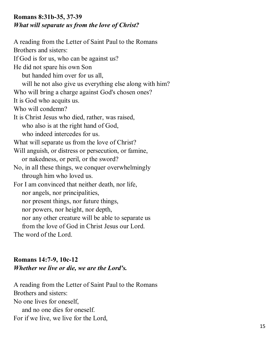#### **Romans 8:31b-35, 37-39** *What will separate us from the love of Christ?*

A reading from the Letter of Saint Paul to the Romans Brothers and sisters: If God is for us, who can be against us? He did not spare his own Son but handed him over for us all, will he not also give us everything else along with him? Who will bring a charge against God's chosen ones? It is God who acquits us. Who will condemn? It is Christ Jesus who died, rather, was raised, who also is at the right hand of God, who indeed intercedes for us. What will separate us from the love of Christ? Will anguish, or distress or persecution, or famine, or nakedness, or peril, or the sword? No, in all these things, we conquer overwhelmingly through him who loved us. For I am convinced that neither death, nor life, nor angels, nor principalities, nor present things, nor future things, nor powers, nor height, nor depth, nor any other creature will be able to separate us from the love of God in Christ Jesus our Lord. The word of the Lord.

#### **Romans 14:7-9, 10c-12** *Whether we live or die, we are the Lord's.*

A reading from the Letter of Saint Paul to the Romans Brothers and sisters: No one lives for oneself, and no one dies for oneself. For if we live, we live for the Lord,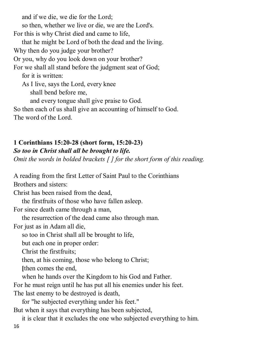and if we die, we die for the Lord; so then, whether we live or die, we are the Lord's. For this is why Christ died and came to life, that he might be Lord of both the dead and the living.

Why then do you judge your brother?

Or you, why do you look down on your brother?

For we shall all stand before the judgment seat of God;

for it is written:

As I live, says the Lord, every knee

shall bend before me,

and every tongue shall give praise to God.

So then each of us shall give an accounting of himself to God. The word of the Lord.

#### **1 Corinthians 15:20-28 (short form, 15:20-23)** *So too in Christ shall all be brought to life.*

*Omit the words in bolded brackets [ ] for the short form of this reading.*

A reading from the first Letter of Saint Paul to the Corinthians Brothers and sisters:

Christ has been raised from the dead,

the firstfruits of those who have fallen asleep.

For since death came through a man,

the resurrection of the dead came also through man.

For just as in Adam all die,

so too in Christ shall all be brought to life,

but each one in proper order:

Christ the firstfruits;

then, at his coming, those who belong to Christ;

**[**then comes the end,

when he hands over the Kingdom to his God and Father.

For he must reign until he has put all his enemies under his feet.

The last enemy to be destroyed is death,

for "he subjected everything under his feet."

But when it says that everything has been subjected,

it is clear that it excludes the one who subjected everything to him.

16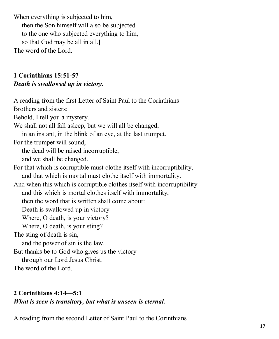When everything is subjected to him, then the Son himself will also be subjected to the one who subjected everything to him, so that God may be all in all.**]** The word of the Lord.

#### **1 Corinthians 15:51-57** *Death is swallowed up in victory.*

A reading from the first Letter of Saint Paul to the Corinthians Brothers and sisters: Behold, I tell you a mystery. We shall not all fall asleep, but we will all be changed, in an instant, in the blink of an eye, at the last trumpet. For the trumpet will sound, the dead will be raised incorruptible, and we shall be changed. For that which is corruptible must clothe itself with incorruptibility, and that which is mortal must clothe itself with immortality. And when this which is corruptible clothes itself with incorruptibility and this which is mortal clothes itself with immortality, then the word that is written shall come about: Death is swallowed up in victory. Where, O death, is your victory? Where, O death, is your sting? The sting of death is sin, and the power of sin is the law. But thanks be to God who gives us the victory through our Lord Jesus Christ. The word of the Lord.

#### **2 Corinthians 4:14—5:1** *What is seen is transitory, but what is unseen is eternal.*

A reading from the second Letter of Saint Paul to the Corinthians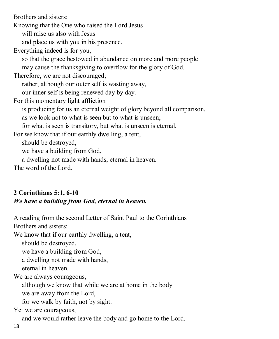Brothers and sisters:

Knowing that the One who raised the Lord Jesus

will raise us also with Jesus

and place us with you in his presence.

Everything indeed is for you,

 so that the grace bestowed in abundance on more and more people may cause the thanksgiving to overflow for the glory of God.

Therefore, we are not discouraged;

rather, although our outer self is wasting away,

our inner self is being renewed day by day.

For this momentary light affliction

is producing for us an eternal weight of glory beyond all comparison,

as we look not to what is seen but to what is unseen;

for what is seen is transitory, but what is unseen is eternal.

For we know that if our earthly dwelling, a tent,

should be destroyed,

we have a building from God,

a dwelling not made with hands, eternal in heaven.

The word of the Lord.

#### **2 Corinthians 5:1, 6-10** *We have a building from God, eternal in heaven.*

A reading from the second Letter of Saint Paul to the Corinthians Brothers and sisters:

We know that if our earthly dwelling, a tent,

should be destroyed,

we have a building from God,

a dwelling not made with hands,

eternal in heaven.

We are always courageous,

although we know that while we are at home in the body

we are away from the Lord,

for we walk by faith, not by sight.

Yet we are courageous,

and we would rather leave the body and go home to the Lord.

18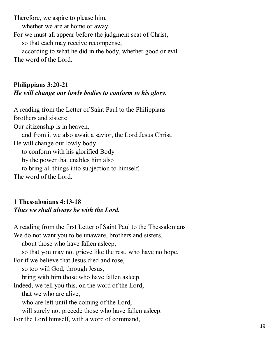Therefore, we aspire to please him,

whether we are at home or away.

For we must all appear before the judgment seat of Christ,

so that each may receive recompense,

 according to what he did in the body, whether good or evil. The word of the Lord.

#### **Philippians 3:20-21** *He will change our lowly bodies to conform to his glory.*

A reading from the Letter of Saint Paul to the Philippians Brothers and sisters: Our citizenship is in heaven, and from it we also await a savior, the Lord Jesus Christ. He will change our lowly body to conform with his glorified Body by the power that enables him also to bring all things into subjection to himself. The word of the Lord.

#### **1 Thessalonians 4:13-18** *Thus we shall always be with the Lord.*

A reading from the first Letter of Saint Paul to the Thessalonians We do not want you to be unaware, brothers and sisters, about those who have fallen asleep, so that you may not grieve like the rest, who have no hope. For if we believe that Jesus died and rose, so too will God, through Jesus, bring with him those who have fallen asleep. Indeed, we tell you this, on the word of the Lord, that we who are alive, who are left until the coming of the Lord, will surely not precede those who have fallen asleep. For the Lord himself, with a word of command,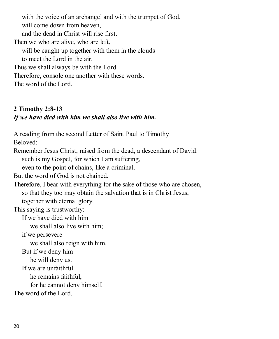with the voice of an archangel and with the trumpet of God, will come down from heaven. and the dead in Christ will rise first. Then we who are alive, who are left, will be caught up together with them in the clouds to meet the Lord in the air. Thus we shall always be with the Lord. Therefore, console one another with these words. The word of the Lord.

#### **2 Timothy 2:8-13** *If we have died with him we shall also live with him.*

A reading from the second Letter of Saint Paul to Timothy Beloved:

Remember Jesus Christ, raised from the dead, a descendant of David: such is my Gospel, for which I am suffering,

even to the point of chains, like a criminal.

But the word of God is not chained.

Therefore, I bear with everything for the sake of those who are chosen, so that they too may obtain the salvation that is in Christ Jesus, together with eternal glory.

This saying is trustworthy:

If we have died with him

we shall also live with him;

if we persevere

we shall also reign with him.

But if we deny him

he will deny us.

If we are unfaithful

he remains faithful,

for he cannot deny himself.

The word of the Lord.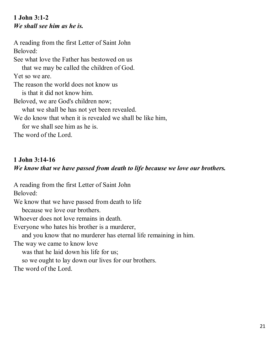#### **1 John 3:1-2** *We shall see him as he is.*

A reading from the first Letter of Saint John Beloved: See what love the Father has bestowed on us that we may be called the children of God. Yet so we are. The reason the world does not know us is that it did not know him. Beloved, we are God's children now; what we shall be has not yet been revealed. We do know that when it is revealed we shall be like him. for we shall see him as he is. The word of the Lord.

#### **1 John 3:14-16** *We know that we have passed from death to life because we love our brothers.*

A reading from the first Letter of Saint John Beloved: We know that we have passed from death to life because we love our brothers. Whoever does not love remains in death.

Everyone who hates his brother is a murderer,

and you know that no murderer has eternal life remaining in him.

The way we came to know love

was that he laid down his life for us;

so we ought to lay down our lives for our brothers.

The word of the Lord.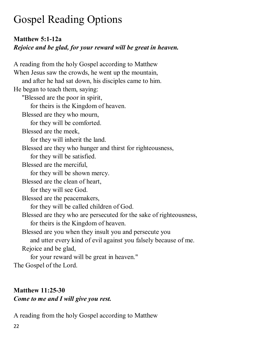# Gospel Reading Options

#### **Matthew 5:1-12a**

*Rejoice and be glad, for your reward will be great in heaven.*

A reading from the holy Gospel according to Matthew When Jesus saw the crowds, he went up the mountain, and after he had sat down, his disciples came to him. He began to teach them, saying: "Blessed are the poor in spirit, for theirs is the Kingdom of heaven. Blessed are they who mourn, for they will be comforted. Blessed are the meek, for they will inherit the land. Blessed are they who hunger and thirst for righteousness, for they will be satisfied. Blessed are the merciful, for they will be shown mercy. Blessed are the clean of heart, for they will see God. Blessed are the peacemakers, for they will be called children of God. Blessed are they who are persecuted for the sake of righteousness, for theirs is the Kingdom of heaven. Blessed are you when they insult you and persecute you and utter every kind of evil against you falsely because of me. Rejoice and be glad, for your reward will be great in heaven." The Gospel of the Lord.

#### **Matthew 11:25-30** *Come to me and I will give you rest.*

A reading from the holy Gospel according to Matthew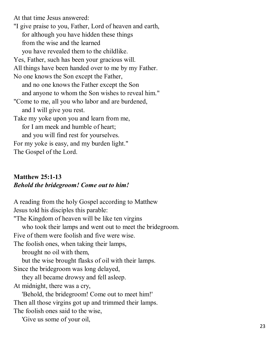At that time Jesus answered:

"I give praise to you, Father, Lord of heaven and earth, for although you have hidden these things from the wise and the learned you have revealed them to the childlike. Yes, Father, such has been your gracious will. All things have been handed over to me by my Father. No one knows the Son except the Father, and no one knows the Father except the Son and anyone to whom the Son wishes to reveal him." "Come to me, all you who labor and are burdened, and I will give you rest. Take my yoke upon you and learn from me, for I am meek and humble of heart; and you will find rest for yourselves. For my yoke is easy, and my burden light." The Gospel of the Lord.

#### **Matthew 25:1-13** *Behold the bridegroom! Come out to him!*

A reading from the holy Gospel according to Matthew Jesus told his disciples this parable: "The Kingdom of heaven will be like ten virgins who took their lamps and went out to meet the bridegroom. Five of them were foolish and five were wise. The foolish ones, when taking their lamps, brought no oil with them, but the wise brought flasks of oil with their lamps. Since the bridegroom was long delayed, they all became drowsy and fell asleep. At midnight, there was a cry, 'Behold, the bridegroom! Come out to meet him!' Then all those virgins got up and trimmed their lamps. The foolish ones said to the wise, 'Give us some of your oil,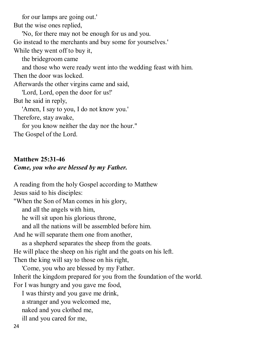for our lamps are going out.'

But the wise ones replied,

'No, for there may not be enough for us and you.

Go instead to the merchants and buy some for yourselves.'

While they went off to buy it,

the bridegroom came

and those who were ready went into the wedding feast with him.

Then the door was locked.

Afterwards the other virgins came and said,

'Lord, Lord, open the door for us!'

But he said in reply,

 'Amen, I say to you, I do not know you.' Therefore, stay awake,

 for you know neither the day nor the hour." The Gospel of the Lord.

#### **Matthew 25:31-46** *Come, you who are blessed by my Father.*

A reading from the holy Gospel according to Matthew Jesus said to his disciples: "When the Son of Man comes in his glory, and all the angels with him, he will sit upon his glorious throne, and all the nations will be assembled before him. And he will separate them one from another, as a shepherd separates the sheep from the goats. He will place the sheep on his right and the goats on his left. Then the king will say to those on his right, 'Come, you who are blessed by my Father. Inherit the kingdom prepared for you from the foundation of the world. For I was hungry and you gave me food, I was thirsty and you gave me drink, a stranger and you welcomed me, naked and you clothed me, ill and you cared for me,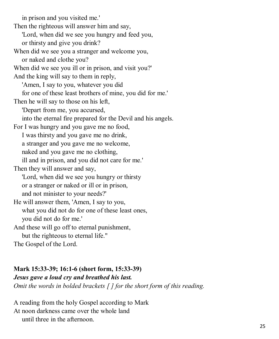in prison and you visited me.'

Then the righteous will answer him and say, 'Lord, when did we see you hungry and feed you, or thirsty and give you drink? When did we see you a stranger and welcome you, or naked and clothe you? When did we see you ill or in prison, and visit you?' And the king will say to them in reply, 'Amen, I say to you, whatever you did for one of these least brothers of mine, you did for me.' Then he will say to those on his left, 'Depart from me, you accursed, into the eternal fire prepared for the Devil and his angels. For I was hungry and you gave me no food, I was thirsty and you gave me no drink, a stranger and you gave me no welcome, naked and you gave me no clothing, ill and in prison, and you did not care for me.' Then they will answer and say, 'Lord, when did we see you hungry or thirsty or a stranger or naked or ill or in prison, and not minister to your needs?' He will answer them, 'Amen, I say to you, what you did not do for one of these least ones, you did not do for me.' And these will go off to eternal punishment, but the righteous to eternal life." The Gospel of the Lord.

#### **Mark 15:33-39; 16:1-6 (short form, 15:33-39)** *Jesus gave a loud cry and breathed his last.*

*Omit the words in bolded brackets [ ] for the short form of this reading.*

A reading from the holy Gospel according to Mark At noon darkness came over the whole land until three in the afternoon.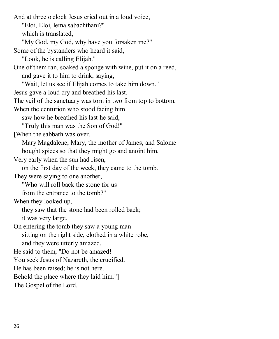And at three o'clock Jesus cried out in a loud voice, "Eloi, Eloi, lema sabachthani?" which is translated, "My God, my God, why have you forsaken me?" Some of the bystanders who heard it said, "Look, he is calling Elijah." One of them ran, soaked a sponge with wine, put it on a reed, and gave it to him to drink, saying, "Wait, let us see if Elijah comes to take him down." Jesus gave a loud cry and breathed his last. The veil of the sanctuary was torn in two from top to bottom. When the centurion who stood facing him saw how he breathed his last he said, "Truly this man was the Son of God!" **[**When the sabbath was over, Mary Magdalene, Mary, the mother of James, and Salome bought spices so that they might go and anoint him. Very early when the sun had risen, on the first day of the week, they came to the tomb. They were saying to one another, "Who will roll back the stone for us from the entrance to the tomb?" When they looked up, they saw that the stone had been rolled back; it was very large. On entering the tomb they saw a young man sitting on the right side, clothed in a white robe, and they were utterly amazed. He said to them, "Do not be amazed! You seek Jesus of Nazareth, the crucified. He has been raised; he is not here. Behold the place where they laid him."**]** The Gospel of the Lord.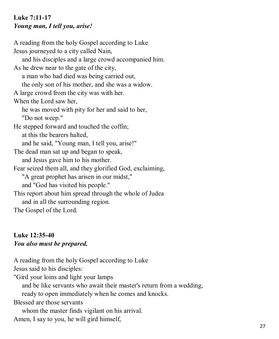#### **Luke 7:11-17** *Young man, I tell you, arise!*

A reading from the holy Gospel according to Luke Jesus journeyed to a city called Nain, and his disciples and a large crowd accompanied him. As he drew near to the gate of the city, a man who had died was being carried out, the only son of his mother, and she was a widow. A large crowd from the city was with her. When the Lord saw her, he was moved with pity for her and said to her, "Do not weep." He stepped forward and touched the coffin; at this the bearers halted, and he said, "Young man, I tell you, arise!" The dead man sat up and began to speak, and Jesus gave him to his mother. Fear seized them all, and they glorified God, exclaiming, "A great prophet has arisen in our midst," and "God has visited his people." This report about him spread through the whole of Judea and in all the surrounding region. The Gospel of the Lord.

#### **Luke 12:35-40** *You also must be prepared.*

A reading from the holy Gospel according to Luke Jesus said to his disciples: "Gird your loins and light your lamps and be like servants who await their master's return from a wedding, ready to open immediately when he comes and knocks. Blessed are those servants whom the master finds vigilant on his arrival. Amen, I say to you, he will gird himself,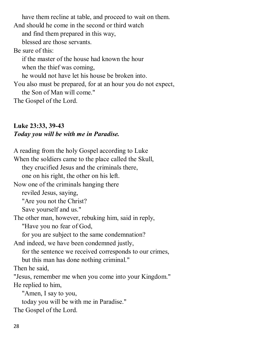have them recline at table, and proceed to wait on them.

And should he come in the second or third watch

and find them prepared in this way,

blessed are those servants.

Be sure of this:

if the master of the house had known the hour

when the thief was coming,

he would not have let his house be broken into.

You also must be prepared, for at an hour you do not expect,

the Son of Man will come."

The Gospel of the Lord.

#### **Luke 23:33, 39-43** *Today you will be with me in Paradise.*

A reading from the holy Gospel according to Luke When the soldiers came to the place called the Skull, they crucified Jesus and the criminals there, one on his right, the other on his left. Now one of the criminals hanging there reviled Jesus, saying, "Are you not the Christ? Save yourself and us." The other man, however, rebuking him, said in reply, "Have you no fear of God, for you are subject to the same condemnation? And indeed, we have been condemned justly, for the sentence we received corresponds to our crimes, but this man has done nothing criminal." Then he said, "Jesus, remember me when you come into your Kingdom." He replied to him, "Amen, I say to you, today you will be with me in Paradise." The Gospel of the Lord.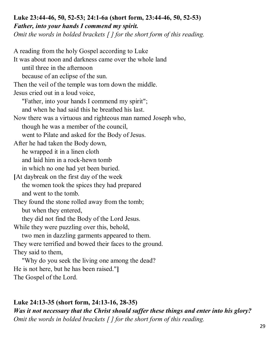#### **Luke 23:44-46, 50, 52-53; 24:1-6a (short form, 23:44-46, 50, 52-53)** *Father, into your hands I commend my spirit.*

*Omit the words in bolded brackets [ ] for the short form of this reading.*

A reading from the holy Gospel according to Luke It was about noon and darkness came over the whole land until three in the afternoon because of an eclipse of the sun. Then the veil of the temple was torn down the middle. Jesus cried out in a loud voice, "Father, into your hands I commend my spirit"; and when he had said this he breathed his last. Now there was a virtuous and righteous man named Joseph who, though he was a member of the council, went to Pilate and asked for the Body of Jesus. After he had taken the Body down, he wrapped it in a linen cloth and laid him in a rock-hewn tomb in which no one had yet been buried. **[**At daybreak on the first day of the week the women took the spices they had prepared and went to the tomb. They found the stone rolled away from the tomb; but when they entered, they did not find the Body of the Lord Jesus. While they were puzzling over this, behold, two men in dazzling garments appeared to them. They were terrified and bowed their faces to the ground. They said to them, "Why do you seek the living one among the dead? He is not here, but he has been raised."**]** The Gospel of the Lord.

#### **Luke 24:13-35 (short form, 24:13-16, 28-35)**

*Was it not necessary that the Christ should suffer these things and enter into his glory? Omit the words in bolded brackets [ ] for the short form of this reading.*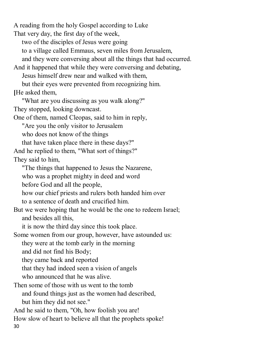30 A reading from the holy Gospel according to Luke That very day, the first day of the week, two of the disciples of Jesus were going to a village called Emmaus, seven miles from Jerusalem, and they were conversing about all the things that had occurred. And it happened that while they were conversing and debating, Jesus himself drew near and walked with them, but their eyes were prevented from recognizing him. **[**He asked them, "What are you discussing as you walk along?" They stopped, looking downcast. One of them, named Cleopas, said to him in reply, "Are you the only visitor to Jerusalem who does not know of the things that have taken place there in these days?" And he replied to them, "What sort of things?" They said to him, "The things that happened to Jesus the Nazarene, who was a prophet mighty in deed and word before God and all the people, how our chief priests and rulers both handed him over to a sentence of death and crucified him. But we were hoping that he would be the one to redeem Israel; and besides all this, it is now the third day since this took place. Some women from our group, however, have astounded us: they were at the tomb early in the morning and did not find his Body; they came back and reported that they had indeed seen a vision of angels who announced that he was alive. Then some of those with us went to the tomb and found things just as the women had described, but him they did not see." And he said to them, "Oh, how foolish you are! How slow of heart to believe all that the prophets spoke!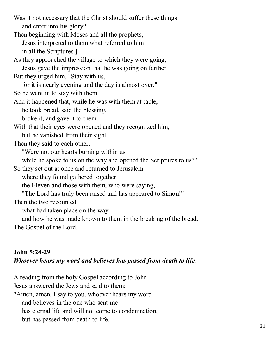Was it not necessary that the Christ should suffer these things and enter into his glory?" Then beginning with Moses and all the prophets, Jesus interpreted to them what referred to him in all the Scriptures.**]** As they approached the village to which they were going, Jesus gave the impression that he was going on farther. But they urged him, "Stay with us, for it is nearly evening and the day is almost over." So he went in to stay with them. And it happened that, while he was with them at table,

he took bread, said the blessing,

broke it, and gave it to them.

With that their eyes were opened and they recognized him, but he vanished from their sight.

Then they said to each other,

"Were not our hearts burning within us

while he spoke to us on the way and opened the Scriptures to us?"

So they set out at once and returned to Jerusalem

where they found gathered together

the Eleven and those with them, who were saying,

"The Lord has truly been raised and has appeared to Simon!"

Then the two recounted

what had taken place on the way

 and how he was made known to them in the breaking of the bread. The Gospel of the Lord.

#### **John 5:24-29** *Whoever hears my word and believes has passed from death to life.*

A reading from the holy Gospel according to John Jesus answered the Jews and said to them: "Amen, amen, I say to you, whoever hears my word and believes in the one who sent me has eternal life and will not come to condemnation, but has passed from death to life.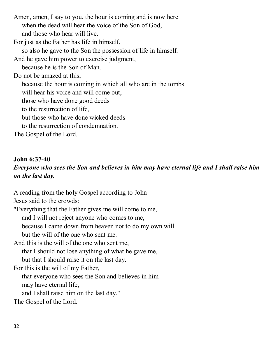Amen, amen, I say to you, the hour is coming and is now here when the dead will hear the voice of the Son of God, and those who hear will live.

For just as the Father has life in himself, so also he gave to the Son the possession of life in himself. And he gave him power to exercise judgment, because he is the Son of Man. Do not be amazed at this, because the hour is coming in which all who are in the tombs will hear his voice and will come out, those who have done good deeds to the resurrection of life, but those who have done wicked deeds to the resurrection of condemnation. The Gospel of the Lord.

#### **John 6:37-40** *Everyone who sees the Son and believes in him may have eternal life and I shall raise him on the last day.*

A reading from the holy Gospel according to John Jesus said to the crowds: "Everything that the Father gives me will come to me, and I will not reject anyone who comes to me, because I came down from heaven not to do my own will but the will of the one who sent me. And this is the will of the one who sent me, that I should not lose anything of what he gave me, but that I should raise it on the last day. For this is the will of my Father, that everyone who sees the Son and believes in him may have eternal life, and I shall raise him on the last day." The Gospel of the Lord.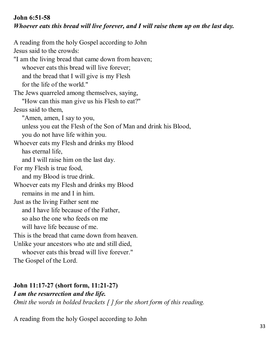#### **John 6:51-58**

#### *Whoever eats this bread will live forever, and I will raise them up on the last day.*

A reading from the holy Gospel according to John Jesus said to the crowds: "I am the living bread that came down from heaven; whoever eats this bread will live forever; and the bread that I will give is my Flesh for the life of the world." The Jews quarreled among themselves, saying, "How can this man give us his Flesh to eat?" Jesus said to them, "Amen, amen, I say to you, unless you eat the Flesh of the Son of Man and drink his Blood, you do not have life within you. Whoever eats my Flesh and drinks my Blood has eternal life, and I will raise him on the last day. For my Flesh is true food, and my Blood is true drink. Whoever eats my Flesh and drinks my Blood remains in me and I in him. Just as the living Father sent me and I have life because of the Father, so also the one who feeds on me will have life because of me. This is the bread that came down from heaven. Unlike your ancestors who ate and still died, whoever eats this bread will live forever." The Gospel of the Lord.

#### **John 11:17-27 (short form, 11:21-27)** *I am the resurrection and the life.*

*Omit the words in bolded brackets [ ] for the short form of this reading.*

A reading from the holy Gospel according to John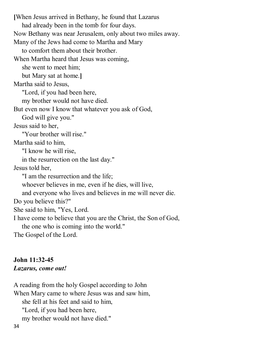**[**When Jesus arrived in Bethany, he found that Lazarus had already been in the tomb for four days. Now Bethany was near Jerusalem, only about two miles away. Many of the Jews had come to Martha and Mary to comfort them about their brother. When Martha heard that Jesus was coming, she went to meet him; but Mary sat at home.**]** Martha said to Jesus, "Lord, if you had been here, my brother would not have died. But even now I know that whatever you ask of God, God will give you." Jesus said to her, "Your brother will rise." Martha said to him, "I know he will rise, in the resurrection on the last day." Jesus told her, "I am the resurrection and the life; whoever believes in me, even if he dies, will live, and everyone who lives and believes in me will never die. Do you believe this?" She said to him, "Yes, Lord. I have come to believe that you are the Christ, the Son of God, the one who is coming into the world." The Gospel of the Lord.

#### **John 11:32-45** *Lazarus, come out!*

A reading from the holy Gospel according to John When Mary came to where Jesus was and saw him, she fell at his feet and said to him, "Lord, if you had been here, my brother would not have died."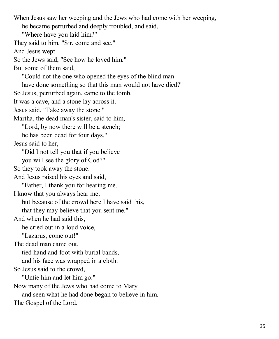When Jesus saw her weeping and the Jews who had come with her weeping, he became perturbed and deeply troubled, and said, "Where have you laid him?" They said to him, "Sir, come and see." And Jesus wept. So the Jews said, "See how he loved him." But some of them said, "Could not the one who opened the eyes of the blind man have done something so that this man would not have died?" So Jesus, perturbed again, came to the tomb. It was a cave, and a stone lay across it. Jesus said, "Take away the stone." Martha, the dead man's sister, said to him, "Lord, by now there will be a stench; he has been dead for four days." Jesus said to her, "Did I not tell you that if you believe you will see the glory of God?" So they took away the stone. And Jesus raised his eyes and said, "Father, I thank you for hearing me. I know that you always hear me; but because of the crowd here I have said this, that they may believe that you sent me." And when he had said this, he cried out in a loud voice, "Lazarus, come out!" The dead man came out, tied hand and foot with burial bands, and his face was wrapped in a cloth. So Jesus said to the crowd, "Untie him and let him go." Now many of the Jews who had come to Mary and seen what he had done began to believe in him. The Gospel of the Lord.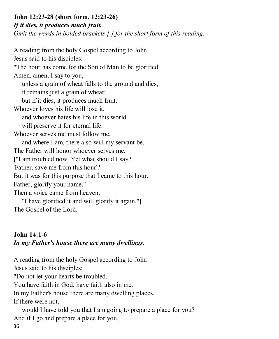#### **John 12:23-28 (short form, 12:23-26)** *If it dies, it produces much fruit.*

*Omit the words in bolded brackets [ ] for the short form of this reading.*

A reading from the holy Gospel according to John Jesus said to his disciples: "The hour has come for the Son of Man to be glorified. Amen, amen, I say to you, unless a grain of wheat falls to the ground and dies, it remains just a grain of wheat; but if it dies, it produces much fruit. Whoever loves his life will lose it, and whoever hates his life in this world will preserve it for eternal life. Whoever serves me must follow me, and where I am, there also will my servant be. The Father will honor whoever serves me. **[**"I am troubled now. Yet what should I say? 'Father, save me from this hour'? But it was for this purpose that I came to this hour. Father, glorify your name." Then a voice came from heaven, "I have glorified it and will glorify it again."**]** The Gospel of the Lord.

#### **John 14:1-6** *In my Father's house there are many dwellings.*

A reading from the holy Gospel according to John Jesus said to his disciples: "Do not let your hearts be troubled. You have faith in God; have faith also in me. In my Father's house there are many dwelling places. If there were not, would I have told you that I am going to prepare a place for you? And if I go and prepare a place for you,

36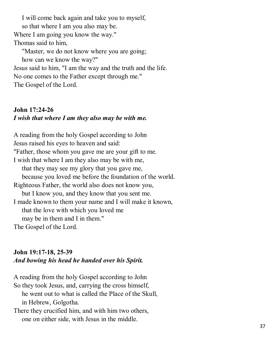I will come back again and take you to myself, so that where I am you also may be. Where I am going you know the way." Thomas said to him, "Master, we do not know where you are going; how can we know the way?" Jesus said to him, "I am the way and the truth and the life.

No one comes to the Father except through me."

The Gospel of the Lord.

#### **John 17:24-26** *I wish that where I am they also may be with me.*

A reading from the holy Gospel according to John Jesus raised his eyes to heaven and said: "Father, those whom you gave me are your gift to me. I wish that where I am they also may be with me, that they may see my glory that you gave me, because you loved me before the foundation of the world. Righteous Father, the world also does not know you, but I know you, and they know that you sent me. I made known to them your name and I will make it known, that the love with which you loved me may be in them and I in them." The Gospel of the Lord.

#### **John 19:17-18, 25-39** *And bowing his head he handed over his Spirit.*

A reading from the holy Gospel according to John So they took Jesus, and, carrying the cross himself, he went out to what is called the Place of the Skull, in Hebrew, Golgotha. There they crucified him, and with him two others, one on either side, with Jesus in the middle.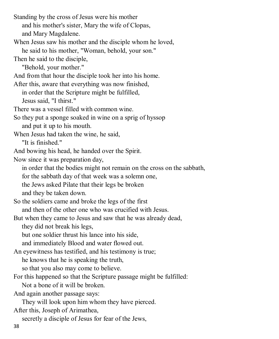Standing by the cross of Jesus were his mother and his mother's sister, Mary the wife of Clopas, and Mary Magdalene. When Jesus saw his mother and the disciple whom he loved, he said to his mother, "Woman, behold, your son." Then he said to the disciple, "Behold, your mother." And from that hour the disciple took her into his home. After this, aware that everything was now finished, in order that the Scripture might be fulfilled, Jesus said, "I thirst." There was a vessel filled with common wine. So they put a sponge soaked in wine on a sprig of hyssop and put it up to his mouth. When Jesus had taken the wine, he said, "It is finished." And bowing his head, he handed over the Spirit. Now since it was preparation day, in order that the bodies might not remain on the cross on the sabbath, for the sabbath day of that week was a solemn one, the Jews asked Pilate that their legs be broken and they be taken down. So the soldiers came and broke the legs of the first and then of the other one who was crucified with Jesus. But when they came to Jesus and saw that he was already dead, they did not break his legs, but one soldier thrust his lance into his side, and immediately Blood and water flowed out. An eyewitness has testified, and his testimony is true; he knows that he is speaking the truth, so that you also may come to believe. For this happened so that the Scripture passage might be fulfilled: Not a bone of it will be broken. And again another passage says: They will look upon him whom they have pierced. After this, Joseph of Arimathea,

secretly a disciple of Jesus for fear of the Jews,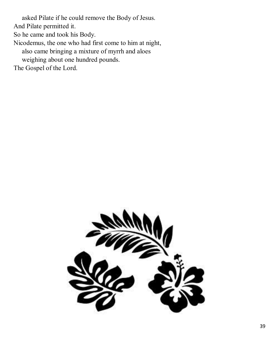asked Pilate if he could remove the Body of Jesus.

And Pilate permitted it.

So he came and took his Body.

Nicodemus, the one who had first come to him at night, also came bringing a mixture of myrrh and aloes weighing about one hundred pounds.

The Gospel of the Lord.